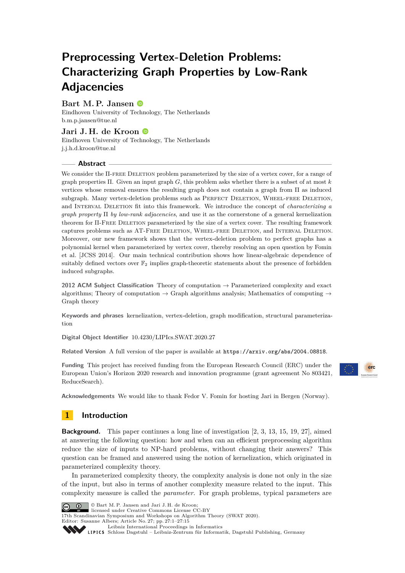# **Preprocessing Vertex-Deletion Problems: Characterizing Graph Properties by Low-Rank Adjacencies**

# **Bart M. P. Jansen**

Eindhoven University of Technology, The Netherlands [b.m.p.jansen@tue.nl](mailto:b.m.p.jansen@tue.nl)

# **Jari J. H. de Kroon**

Eindhoven University of Technology, The Netherlands [j.j.h.d.kroon@tue.nl](mailto:j.j.h.d.kroon@tue.nl)

## **Abstract**

We consider the  $\Pi$ -FREE DELETION problem parameterized by the size of a vertex cover, for a range of graph properties Π. Given an input graph *G*, this problem asks whether there is a subset of at most *k* vertices whose removal ensures the resulting graph does not contain a graph from Π as induced subgraph. Many vertex-deletion problems such as PERFECT DELETION, WHEEL-FREE DELETION, and Interval Deletion fit into this framework. We introduce the concept of *characterizing a graph property* Π *by low-rank adjacencies*, and use it as the cornerstone of a general kernelization theorem for Π-Free Deletion parameterized by the size of a vertex cover. The resulting framework captures problems such as AT-Free Deletion, Wheel-free Deletion, and Interval Deletion. Moreover, our new framework shows that the vertex-deletion problem to perfect graphs has a polynomial kernel when parameterized by vertex cover, thereby resolving an open question by Fomin et al. [JCSS 2014]. Our main technical contribution shows how linear-algebraic dependence of suitably defined vectors over  $\mathbb{F}_2$  implies graph-theoretic statements about the presence of forbidden induced subgraphs.

**2012 ACM Subject Classification** Theory of computation → Parameterized complexity and exact algorithms; Theory of computation  $\rightarrow$  Graph algorithms analysis; Mathematics of computing  $\rightarrow$ Graph theory

**Keywords and phrases** kernelization, vertex-deletion, graph modification, structural parameterization

**Digital Object Identifier** [10.4230/LIPIcs.SWAT.2020.27](https://doi.org/10.4230/LIPIcs.SWAT.2020.27)

Related Version A full version of the paper is available at <https://arxiv.org/abs/2004.08818>.

**Funding** This project has received funding from the European Research Council (ERC) under the European Union's Horizon 2020 research and innovation programme (grant agreement No 803421, ReduceSearch).



**Acknowledgements** We would like to thank Fedor V. Fomin for hosting Jari in Bergen (Norway).

# **1 Introduction**

**Background.** This paper continues a long line of investigation [\[2,](#page-12-0) [3,](#page-12-1) [13,](#page-13-0) [15,](#page-13-1) [19,](#page-13-2) [27\]](#page-14-0), aimed at answering the following question: how and when can an efficient preprocessing algorithm reduce the size of inputs to NP-hard problems, without changing their answers? This question can be framed and answered using the notion of kernelization, which originated in parameterized complexity theory.

In parameterized complexity theory, the complexity analysis is done not only in the size of the input, but also in terms of another complexity measure related to the input. This complexity measure is called the *parameter*. For graph problems, typical parameters are



© Bart M. P. Jansen and Jari J. H. de Kroon; licensed under Creative Commons License CC-BY

17th Scandinavian Symposium and Workshops on Algorithm Theory (SWAT 2020).

Editor: Susanne Albers; Article No. 27; pp. 27:1–27[:15](#page-14-1)

[Leibniz International Proceedings in Informatics](https://www.dagstuhl.de/lipics/)

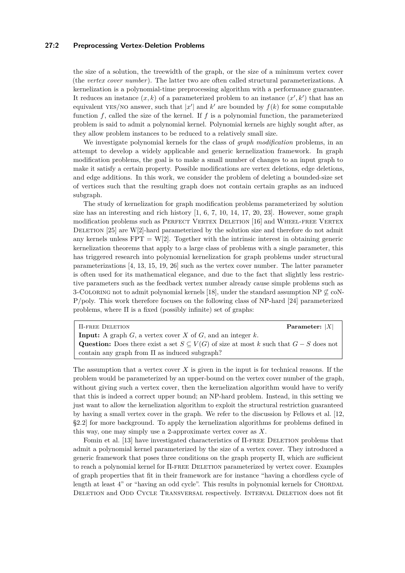## **27:2 Preprocessing Vertex-Deletion Problems**

the size of a solution, the treewidth of the graph, or the size of a minimum vertex cover (the *vertex cover number*). The latter two are often called structural parameterizations. A kernelization is a polynomial-time preprocessing algorithm with a performance guarantee. It reduces an instance  $(x, k)$  of a parameterized problem to an instance  $(x', k')$  that has an equivalent YES/NO answer, such that  $|x'|$  and  $k'$  are bounded by  $f(k)$  for some computable function *f*, called the size of the kernel. If *f* is a polynomial function, the parameterized problem is said to admit a polynomial kernel. Polynomial kernels are highly sought after, as they allow problem instances to be reduced to a relatively small size.

We investigate polynomial kernels for the class of *graph modification* problems, in an attempt to develop a widely applicable and generic kernelization framework. In graph modification problems, the goal is to make a small number of changes to an input graph to make it satisfy a certain property. Possible modifications are vertex deletions, edge deletions, and edge additions. In this work, we consider the problem of deleting a bounded-size set of vertices such that the resulting graph does not contain certain graphs as an induced subgraph.

The study of kernelization for graph modification problems parameterized by solution size has an interesting and rich history  $[1, 6, 7, 10, 14, 17, 20, 23]$  $[1, 6, 7, 10, 14, 17, 20, 23]$  $[1, 6, 7, 10, 14, 17, 20, 23]$  $[1, 6, 7, 10, 14, 17, 20, 23]$  $[1, 6, 7, 10, 14, 17, 20, 23]$  $[1, 6, 7, 10, 14, 17, 20, 23]$  $[1, 6, 7, 10, 14, 17, 20, 23]$  $[1, 6, 7, 10, 14, 17, 20, 23]$  $[1, 6, 7, 10, 14, 17, 20, 23]$  $[1, 6, 7, 10, 14, 17, 20, 23]$  $[1, 6, 7, 10, 14, 17, 20, 23]$  $[1, 6, 7, 10, 14, 17, 20, 23]$  $[1, 6, 7, 10, 14, 17, 20, 23]$  $[1, 6, 7, 10, 14, 17, 20, 23]$  $[1, 6, 7, 10, 14, 17, 20, 23]$ . However, some graph modification problems such as PERFECT VERTEX DELETION [\[16\]](#page-13-9) and WHEEL-FREE VERTEX DELETION  $[25]$  are W $[2]$ -hard parameterized by the solution size and therefore do not admit any kernels unless  $FPT = W[2]$ . Together with the intrinsic interest in obtaining generic kernelization theorems that apply to a large class of problems with a single parameter, this has triggered research into polynomial kernelization for graph problems under structural parameterizations [\[4,](#page-12-4) [13,](#page-13-0) [15,](#page-13-1) [19,](#page-13-2) [26\]](#page-14-3) such as the vertex cover number. The latter parameter is often used for its mathematical elegance, and due to the fact that slightly less restrictive parameters such as the feedback vertex number already cause simple problems such as 3-COLORING not to admit polynomial kernels [\[18\]](#page-13-10), under the standard assumption NP  $\varphi$  coN-P/poly. This work therefore focuses on the following class of NP-hard [\[24\]](#page-14-4) parameterized problems, where  $\Pi$  is a fixed (possibly infinite) set of graphs:

Π-free Deletion **Parameter:** |*X*| **Input:** A graph *G*, a vertex cover *X* of *G*, and an integer *k*. **Question:** Does there exist a set  $S \subseteq V(G)$  of size at most *k* such that  $G - S$  does not contain any graph from  $\Pi$  as induced subgraph?

The assumption that a vertex cover *X* is given in the input is for technical reasons. If the problem would be parameterized by an upper-bound on the vertex cover number of the graph, without giving such a vertex cover, then the kernelization algorithm would have to verify that this is indeed a correct upper bound; an NP-hard problem. Instead, in this setting we just want to allow the kernelization algorithm to exploit the structural restriction guaranteed by having a small vertex cover in the graph. We refer to the discussion by Fellows et al. [\[12,](#page-13-11) §2.2] for more background. To apply the kernelization algorithms for problems defined in this way, one may simply use a 2-approximate vertex cover as *X*.

Fomin et al. [\[13\]](#page-13-0) have investigated characteristics of Π-free Deletion problems that admit a polynomial kernel parameterized by the size of a vertex cover. They introduced a generic framework that poses three conditions on the graph property Π, which are sufficient to reach a polynomial kernel for Π-free Deletion parameterized by vertex cover. Examples of graph properties that fit in their framework are for instance "having a chordless cycle of length at least 4" or "having an odd cycle". This results in polynomial kernels for CHORDAL DELETION and ODD CYCLE TRANSVERSAL respectively. INTERVAL DELETION does not fit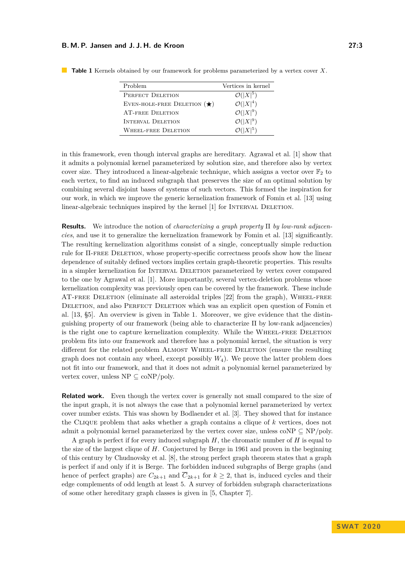| Problem                              | Vertices in kernel   |
|--------------------------------------|----------------------|
| PERFECT DELETION                     | $\mathcal{O}( X ^5)$ |
| EVEN-HOLE-FREE DELETION $(\bigstar)$ | $\mathcal{O}( X ^4)$ |
| <b>AT-FREE DELETION</b>              | $\mathcal{O}( X ^9)$ |
| INTERVAL DELETION                    | $\mathcal{O}( X ^9)$ |
| <b>WHEEL-FREE DELETION</b>           | $\mathcal{O}( X ^5)$ |

<span id="page-2-0"></span>**Table 1** Kernels obtained by our framework for problems parameterized by a vertex cover *X*.

in this framework, even though interval graphs are hereditary. Agrawal et al. [\[1\]](#page-12-2) show that it admits a polynomial kernel parameterized by solution size, and therefore also by vertex cover size. They introduced a linear-algebraic technique, which assigns a vector over  $\mathbb{F}_2$  to each vertex, to find an induced subgraph that preserves the size of an optimal solution by combining several disjoint bases of systems of such vectors. This formed the inspiration for our work, in which we improve the generic kernelization framework of Fomin et al. [\[13\]](#page-13-0) using linear-algebraic techniques inspired by the kernel [\[1\]](#page-12-2) for INTERVAL DELETION.

**Results.** We introduce the notion of *characterizing a graph property* Π *by low-rank adjacencies*, and use it to generalize the kernelization framework by Fomin et al. [\[13\]](#page-13-0) significantly. The resulting kernelization algorithms consist of a single, conceptually simple reduction rule for Π-free Deletion, whose property-specific correctness proofs show how the linear dependence of suitably defined vectors implies certain graph-theoretic properties. This results in a simpler kernelization for Interval Deletion parameterized by vertex cover compared to the one by Agrawal et al. [\[1\]](#page-12-2). More importantly, several vertex-deletion problems whose kernelization complexity was previously open can be covered by the framework. These include AT-FREE DELETION (eliminate all asteroidal triples [\[22\]](#page-13-12) from the graph), WHEEL-FREE DELETION, and also PERFECT DELETION which was an explicit open question of Fomin et al. [\[13,](#page-13-0) §5]. An overview is given in Table [1.](#page-2-0) Moreover, we give evidence that the distinguishing property of our framework (being able to characterize Π by low-rank adjacencies) is the right one to capture kernelization complexity. While the WHEEL-FREE DELETION problem fits into our framework and therefore has a polynomial kernel, the situation is very different for the related problem ALMOST WHEEL-FREE DELETION (ensure the resulting graph does not contain any wheel, except possibly  $W_4$ ). We prove the latter problem does not fit into our framework, and that it does not admit a polynomial kernel parameterized by vertex cover, unless  $NP \subseteq coNP/poly$ .

**Related work.** Even though the vertex cover is generally not small compared to the size of the input graph, it is not always the case that a polynomial kernel parameterized by vertex cover number exists. This was shown by Bodlaender et al. [\[3\]](#page-12-1). They showed that for instance the Clique problem that asks whether a graph contains a clique of *k* vertices, does not admit a polynomial kernel parameterized by the vertex cover size, unless coNP  $\subseteq$  NP/poly.

A graph is perfect if for every induced subgraph *H*, the chromatic number of *H* is equal to the size of the largest clique of *H*. Conjectured by Berge in 1961 and proven in the beginning of this century by Chudnovsky et al. [\[8\]](#page-13-13), the strong perfect graph theorem states that a graph is perfect if and only if it is Berge. The forbidden induced subgraphs of Berge graphs (and hence of perfect graphs) are  $C_{2k+1}$  and  $\overline{C}_{2k+1}$  for  $k \geq 2$ , that is, induced cycles and their edge complements of odd length at least 5. A survey of forbidden subgraph characterizations of some other hereditary graph classes is given in [\[5,](#page-12-5) Chapter 7].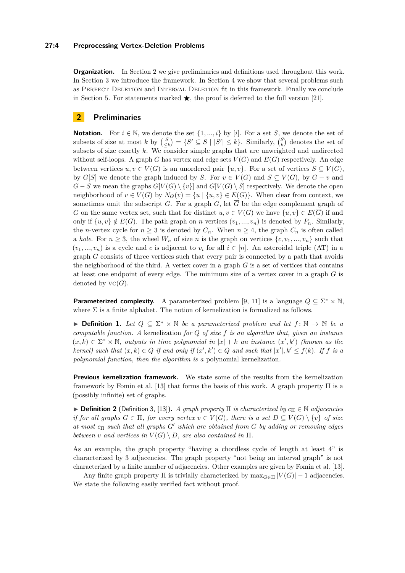### **27:4 Preprocessing Vertex-Deletion Problems**

**Organization.** In Section [2](#page-3-0) we give preliminaries and definitions used throughout this work. In Section [3](#page-4-0) we introduce the framework. In Section [4](#page-8-0) we show that several problems such as Perfect Deletion and Interval Deletion fit in this framework. Finally we conclude in Section [5.](#page-12-6) For statements marked  $\star$ , the proof is deferred to the full version [\[21\]](#page-13-14).

# <span id="page-3-0"></span>**2 Preliminaries**

**Notation.** For  $i \in \mathbb{N}$ , we denote the set  $\{1, ..., i\}$  by [*i*]. For a set *S*, we denote the set of subsets of size at most *k* by  $\binom{S}{\leq k} = \{S' \subseteq S \mid |S'| \leq k\}$ . Similarly,  $\binom{S}{k}$  denotes the set of subsets of size exactly *k*. We consider simple graphs that are unweighted and undirected without self-loops. A graph *G* has vertex and edge sets  $V(G)$  and  $E(G)$  respectively. An edge between vertices  $u, v \in V(G)$  is an unordered pair  $\{u, v\}$ . For a set of vertices  $S \subseteq V(G)$ , by  $G[S]$  we denote the graph induced by *S*. For  $v \in V(G)$  and  $S \subseteq V(G)$ , by  $G - v$  and *G* − *S* we mean the graphs  $G[V(G) \setminus \{v\}]$  and  $G[V(G) \setminus S]$  respectively. We denote the open neighborhood of  $v \in V(G)$  by  $N_G(v) = \{u \mid \{u, v\} \in E(G)\}$ . When clear from context, we sometimes omit the subscript *G*. For a graph *G*, let  $\overline{G}$  be the edge complement graph of *G* on the same vertex set, such that for distinct  $u, v \in V(G)$  we have  $\{u, v\} \in E(\overline{G})$  if and only if  $\{u, v\} \notin E(G)$ . The path graph on *n* vertices  $(v_1, ..., v_n)$  is denoted by  $P_n$ . Similarly, the *n*-vertex cycle for  $n \geq 3$  is denoted by  $C_n$ . When  $n \geq 4$ , the graph  $C_n$  is often called a *hole*. For  $n \geq 3$ , the wheel  $W_n$  of size *n* is the graph on vertices  $\{c, v_1, ..., v_n\}$  such that  $(v_1, ..., v_n)$  is a cycle and *c* is adjacent to  $v_i$  for all  $i \in [n]$ . An asteroidal triple (AT) in a graph *G* consists of three vertices such that every pair is connected by a path that avoids the neighborhood of the third. A vertex cover in a graph *G* is a set of vertices that contains at least one endpoint of every edge. The minimum size of a vertex cover in a graph *G* is denoted by  $\text{VC}(G)$ .

**Parameterized complexity.** A parameterized problem [\[9,](#page-13-15) [11\]](#page-13-16) is a language  $Q \subseteq \Sigma^* \times \mathbb{N}$ , where  $\Sigma$  is a finite alphabet. The notion of kernelization is formalized as follows.

**► Definition 1.** Let  $Q \subseteq \Sigma^* \times \mathbb{N}$  be a parameterized problem and let  $f : \mathbb{N} \to \mathbb{N}$  be a *computable function. A* kernelization *for Q of size f is an algorithm that, given an instance*  $(x, k) \in \Sigma^* \times \mathbb{N}$ , outputs in time polynomial in  $|x| + k$  an instance  $(x', k')$  (known as the *kernel)* such that  $(x, k) \in Q$  if and only if  $(x', k') \in Q$  and such that  $|x'|, k' \le f(k)$ . If f is a *polynomial function, then the algorithm is a* polynomial kernelization*.*

**Previous kernelization framework.** We state some of the results from the kernelization framework by Fomin et al. [\[13\]](#page-13-0) that forms the basis of this work. A graph property Π is a (possibly infinite) set of graphs.

 $\triangleright$  **Definition 2** (Definition 3, [\[13\]](#page-13-0)). *A graph property*  $\Pi$  *is characterized by*  $c_{\Pi} \in \mathbb{N}$  *adjacencies if for all graphs*  $G \in \Pi$ *, for every vertex*  $v \in V(G)$ *, there is a set*  $D \subseteq V(G) \setminus \{v\}$  *of size at most c*<sup>Π</sup> *such that all graphs G*<sup>0</sup> *which are obtained from G by adding or removing edges between v and vertices in*  $V(G) \setminus D$ *, are also contained in*  $\Pi$ *.* 

As an example, the graph property "having a chordless cycle of length at least 4" is characterized by 3 adjacencies. The graph property "not being an interval graph" is not characterized by a finite number of adjacencies. Other examples are given by Fomin et al. [\[13\]](#page-13-0).

Any finite graph property  $\Pi$  is trivially characterized by  $\max_{G \in \Pi} |V(G)| - 1$  adjacencies. We state the following easily verified fact without proof.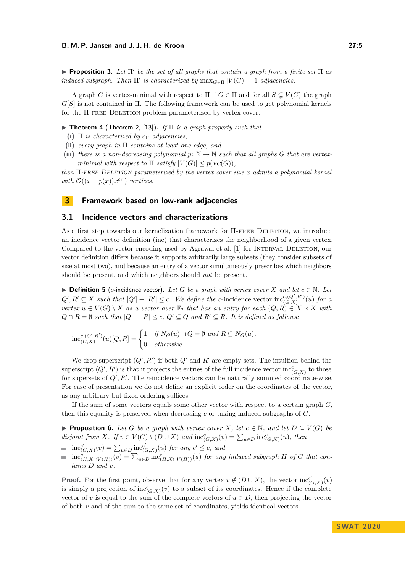**Proposition 3.** Let  $\Pi'$  be the set of all graphs that contain a graph from a finite set  $\Pi$  as *induced subgraph. Then*  $\Pi'$  *is characterized by*  $\max_{G \in \Pi} |V(G)| - 1$  *adjacencies.* 

A graph *G* is vertex-minimal with respect to  $\Pi$  if  $G \in \Pi$  and for all  $S \subset V(G)$  the graph *G*[*S*] is not contained in Π. The following framework can be used to get polynomial kernels for the Π-free Deletion problem parameterized by vertex cover.

<span id="page-4-1"></span>**Figure 1 Theorem 4** (Theorem 2, [\[13\]](#page-13-0)). If  $\Pi$  is a graph property such that:

- **(i)**  $\Pi$  *is characterized by*  $c_{\Pi}$  *adjacencies,*
- **(ii)** *every graph in* Π *contains at least one edge, and*
- (iii) *there is a non-decreasing polynomial*  $p: \mathbb{N} \to \mathbb{N}$  *such that all graphs G that are vertexminimal with respect to*  $\Pi$  *satisfy*  $|V(G)| \leq p(V(C))$ *,*

*then* Π*-*free Deletion *parameterized by the vertex cover size x admits a polynomial kernel with*  $\mathcal{O}((x+p(x))x^{c_{\Pi}})$  *vertices.* 

# <span id="page-4-0"></span>**3 Framework based on low-rank adjacencies**

## **3.1 Incidence vectors and characterizations**

As a first step towards our kernelization framework for Π-free Deletion, we introduce an incidence vector definition (inc) that characterizes the neighborhood of a given vertex. Compared to the vector encoding used by Agrawal et al. [\[1\]](#page-12-2) for INTERVAL DELETION, our vector definition differs because it supports arbitrarily large subsets (they consider subsets of size at most two), and because an entry of a vector simultaneously prescribes which neighbors should be present, and which neighbors should *not* be present.

▶ **Definition 5** (*c*-incidence vector). Let G be a graph with vertex cover *X* and let  $c \in \mathbb{N}$ . Let  $Q', R' \subseteq X$  *such that*  $|Q'| + |R'| \leq c$ . We define the *c*-incidence vector inc<sub>(*G*</sup><sub>*X*</sub>)<sup>*x*</sup>)</sub>  $\int_{(G,X)}^{c,(Q_-,K_-)}(u)$  for a *vertex*  $u \in V(G) \setminus X$  *as a vector over*  $\mathbb{F}_2$  *that has an entry for each*  $(Q, R) \in X \times X$  *with Q* ∩ *R* = ∅ *such that*  $|Q| + |R| \le c$ ,  $Q' ⊆ Q$  *and*  $R' ⊆ R$ *. It is defined as follows:* 

$$
\text{inc}_{(G,X)}^{c,(Q',R')}(u)[Q,R] = \begin{cases} 1 & \text{if } N_G(u) \cap Q = \emptyset \text{ and } R \subseteq N_G(u), \\ 0 & \text{otherwise.} \end{cases}
$$

We drop superscript  $(Q', R')$  if both  $Q'$  and  $R'$  are empty sets. The intuition behind the superscript  $(Q', R')$  is that it projects the entries of the full incidence vector  $\text{inc}_{(G,X)}^c$  to those for supersets of  $Q', R'$ . The *c*-incidence vectors can be naturally summed coordinate-wise. For ease of presentation we do not define an explicit order on the coordinates of the vector, as any arbitrary but fixed ordering suffices.

If the sum of some vectors equals some other vector with respect to a certain graph *G*, then this equality is preserved when decreasing *c* or taking induced subgraphs of *G*.

<span id="page-4-2"></span>**Proposition 6.** *Let G be a graph with vertex cover X, let*  $c \in \mathbb{N}$ *, and let*  $D \subseteq V(G)$  *be disjoint from*  $X$ *. If*  $v \in V(G) \setminus (D \cup X)$  *and*  $\text{inc}_{(G,X)}^c(v) = \sum_{u \in D} \text{inc}_{(G,X)}^c(u)$ *, then* 

$$
= \text{inc}_{(G,X)}^{c'}(v) = \sum_{u \in D} \text{inc}_{(G,X)}^{c'}(u) \text{ for any } c' \leq c, \text{ and}
$$

 $inc_{(H,X\cap V(H))}^{c}(v) = \sum_{u\in D} inc_{(H,X\cap V(H))}^{c}(u)$  *for any induced subgraph H of G that contains D and v.*

**Proof.** For the first point, observe that for any vertex  $v \notin (D \cup X)$ , the vector inc<sub>*c*</sub></sub>  $f^c_{(G,X)}(v)$ is simply a projection of  $\operatorname{inc}^c_{(G,X)}(v)$  to a subset of its coordinates. Hence if the complete vector of *v* is equal to the sum of the complete vectors of  $u \in D$ , then projecting the vector of both  $v$  and of the sum to the same set of coordinates, yields identical vectors.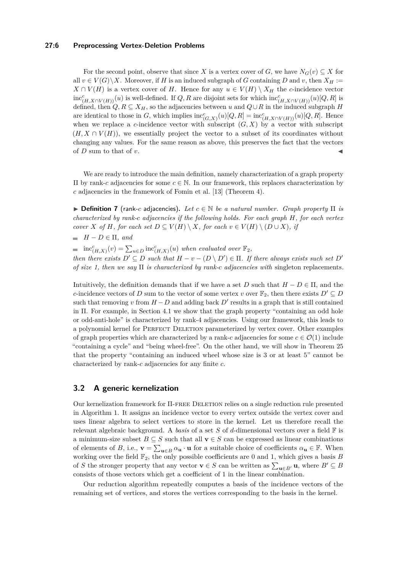## **27:6 Preprocessing Vertex-Deletion Problems**

For the second point, observe that since *X* is a vertex cover of *G*, we have  $N_G(v) \subseteq X$  for all  $v \in V(G) \setminus X$ . Moreover, if *H* is an induced subgraph of *G* containing *D* and *v*, then  $X_H :=$ *X* ∩ *V*(*H*) is a vertex cover of *H*. Hence for any *u* ∈ *V*(*H*)  $\setminus$  *X<sub>H</sub>* the *c*-incidence vector  $inc<sup>c</sup>(H,X\cap V(H))(u)$  is well-defined. If *Q, R* are disjoint sets for which  $inc<sup>c</sup>(H,X\cap V(H))(u)[Q,R]$  is defined, then  $Q, R \subseteq X_H$ , so the adjacencies between *u* and  $Q \cup R$  in the induced subgraph *H* are identical to those in *G*, which implies  $\text{inc}_{(G,X)}^c(u)[Q,R] = \text{inc}_{(H,X \cap V(H))}^c(u)[Q,R]$ . Hence when we replace a *c*-incidence vector with subscript  $(G, X)$  by a vector with subscript  $(H, X \cap V(H))$ , we essentially project the vector to a subset of its coordinates without changing any values. For the same reason as above, this preserves the fact that the vectors of  $D$  sum to that of  $v$ .

We are ready to introduce the main definition, namely characterization of a graph property Π by rank-*c* adjacencies for some *c* ∈ N. In our framework, this replaces characterization by *c* adjacencies in the framework of Fomin et al. [\[13\]](#page-13-0) (Theorem [4\)](#page-4-1).

 $\triangleright$  **Definition 7** (rank-*c* adjacencies). Let  $c \in \mathbb{N}$  be a natural number. Graph property  $\Pi$  is *characterized by rank-c adjacencies if the following holds. For each graph H, for each vertex cover X of H, for each set*  $D \subseteq V(H) \setminus X$ *, for each*  $v \in V(H) \setminus (D \cup X)$ *, if* 

 $H - D \in \Pi$ *, and* 

 $inc_{(H,X)}^c(v) = \sum_{u \in D} inc_{(H,X)}^c(u)$  *when evaluated over*  $\mathbb{F}_2$ *,* 

*then there exists*  $D' \subseteq D$  *such that*  $H - v - (D \setminus D') \in \Pi$ . If there always exists such set  $D'$ *of size 1, then we say* Π *is characterized by rank-c adjacencies with* singleton replacements*.*

Intuitively, the definition demands that if we have a set *D* such that  $H - D \in \Pi$ , and the *c*-incidence vectors of *D* sum to the vector of some vertex *v* over  $\mathbb{F}_2$ , then there exists  $D' \subseteq D$ such that removing *v* from  $H - D$  and adding back  $D'$  results in a graph that is still contained in Π. For example, in Section [4.1](#page-8-1) we show that the graph property "containing an odd hole or odd-anti-hole" is characterized by rank-4 adjacencies. Using our framework, this leads to a polynomial kernel for Perfect Deletion parameterized by vertex cover. Other examples of graph properties which are characterized by a rank-*c* adjacencies for some  $c \in \mathcal{O}(1)$  include "containing a cycle" and "being wheel-free". On the other hand, we will show in Theorem [25](#page-11-0) that the property "containing an induced wheel whose size is 3 or at least 5" cannot be characterized by rank-*c* adjacencies for any finite *c*.

## **3.2 A generic kernelization**

Our kernelization framework for Π-free Deletion relies on a single reduction rule presented in Algorithm [1.](#page-6-0) It assigns an incidence vector to every vertex outside the vertex cover and uses linear algebra to select vertices to store in the kernel. Let us therefore recall the relevant algebraic background. A *basis* of a set *S* of *d*-dimensional vectors over a field  $\mathbb{F}$  is a minimum-size subset  $B \subseteq S$  such that all  $\mathbf{v} \in S$  can be expressed as linear combinations of elements of *B*, i.e.,  $\mathbf{v} = \sum_{\mathbf{u} \in B} \alpha_{\mathbf{u}} \cdot \mathbf{u}$  for a suitable choice of coefficients  $\alpha_{\mathbf{u}} \in \mathbb{F}$ . When working over the field  $\mathbb{F}_2$ , the only possible coefficients are 0 and 1, which gives a basis *B* of *S* the stronger property that any vector **v**  $\in$  *S* can be written as  $\sum_{\mathbf{u}\in B'} \mathbf{u}$ , where  $B' \subseteq B$ consists of those vectors which get a coefficient of 1 in the linear combination.

Our reduction algorithm repeatedly computes a basis of the incidence vectors of the remaining set of vertices, and stores the vertices corresponding to the basis in the kernel.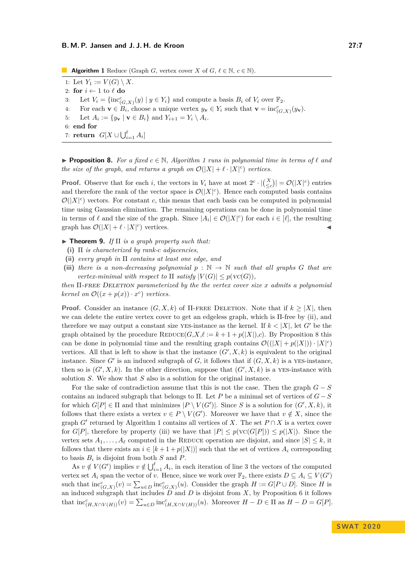<span id="page-6-4"></span><span id="page-6-0"></span>**Algorithm 1** Reduce (Graph *G*, vertex cover *X* of *G*,  $\ell \in \mathbb{N}$ ,  $c \in \mathbb{N}$ ). 1: Let  $Y_1 := V(G) \setminus X$ 2: **for**  $i \leftarrow 1$  to  $\ell$  **do** 3: Let  $V_i = \{\text{inc}_{(G,X)}^c(y) \mid y \in Y_i\}$  and compute a basis  $B_i$  of  $V_i$  over  $\mathbb{F}_2$ . 4: For each  $\mathbf{v} \in \mathcal{B}_i$ , choose a unique vertex  $y_\mathbf{v} \in Y_i$  such that  $\mathbf{v} = \text{inc}_{(G,X)}^c(y_\mathbf{v})$ . 5: Let  $A_i := \{y_{\mathbf{v}} \mid \mathbf{v} \in B_i\}$  and  $Y_{i+1} = Y_i \setminus A_i$ . 6: **end for** 7: **return**  $G[X \cup \bigcup_{i=1}^{\ell} A_i]$ 

<span id="page-6-2"></span>**Proposition 8.** For a fixed  $c \in \mathbb{N}$ , Algorithm [1](#page-6-0) runs in polynomial time in terms of  $\ell$  and *the size of the graph, and returns a graph on*  $\mathcal{O}(|X| + \ell \cdot |X|^c)$  vertices.

**Proof.** Observe that for each *i*, the vectors in  $V_i$  have at most  $2^c \cdot |{X \choose \leq c}| = \mathcal{O}(|X|^c)$  entries and therefore the rank of the vector space is  $\mathcal{O}(|X|^c)$ . Hence each computed basis contains  $\mathcal{O}(|X|^c)$  vectors. For constant *c*, this means that each basis can be computed in polynomial time using Gaussian elimination. The remaining operations can be done in polynomial time in terms of  $\ell$  and the size of the graph. Since  $|A_i| \in \mathcal{O}(|X|^c)$  for each  $i \in [\ell]$ , the resulting graph has  $\mathcal{O}(|X| + \ell \cdot |X|^c)$  vertices.

<span id="page-6-5"></span> $\blacktriangleright$  **Theorem 9.** *If*  $\Pi$  *is a graph property such that:* 

- **(i)** Π *is characterized by rank-c adjacencies,*
- <span id="page-6-1"></span>**(ii)** *every graph in* Π *contains at least one edge, and*
- <span id="page-6-3"></span>(iii) *there is a non-decreasing polynomial*  $p : \mathbb{N} \to \mathbb{N}$  *such that all graphs G that are vertex-minimal with respect to*  $\Pi$  *satisfy*  $|V(G)| \leq p(V(C))$ *,*

*then* Π-free Deletion *parameterized by the the vertex cover size x admits a polynomial kernel on*  $\mathcal{O}((x+p(x)) \cdot x^c)$  *vertices.* 

**Proof.** Consider an instance  $(G, X, k)$  of  $\Pi$ -FREE DELETION. Note that if  $k \geq |X|$ , then we can delete the entire vertex cover to get an edgeless graph, which is Π-free by [\(ii\)](#page-6-1), and therefore we may output a constant size yes-instance as the kernel. If  $k < |X|$ , let G' be the graph obtained by the procedure  $\text{REDUE}(G, X, \ell := k + 1 + p(|X|), c)$ . By Proposition [8](#page-6-2) this can be done in polynomial time and the resulting graph contains  $\mathcal{O}((|X| + p(|X|)) \cdot |X|^c)$ vertices. All that is left to show is that the instance  $(G', X, k)$  is equivalent to the original instance. Since  $G'$  is an induced subgraph of  $G$ , it follows that if  $(G, X, k)$  is a YES-instance, then so is  $(G', X, k)$ . In the other direction, suppose that  $(G', X, k)$  is a YES-instance with solution *S*. We show that *S* also is a solution for the original instance.

For the sake of contradiction assume that this is not the case. Then the graph *G* − *S* contains an induced subgraph that belongs to Π. Let *P* be a minimal set of vertices of *G* − *S* for which  $G[P] \in \Pi$  and that minimizes  $|P \setminus V(G')|$ . Since *S* is a solution for  $(G', X, k)$ , it follows that there exists a vertex  $v \in P \setminus V(G')$ . Moreover we have that  $v \notin X$ , since the graph *G*<sup> $\prime$ </sup> returned by Algorithm [1](#page-6-0) contains all vertices of *X*. The set  $P \cap X$  is a vertex cover for *G*[*P*], therefore by property [\(iii\)](#page-6-3) we have that  $|P| \leq p(\text{VC}(G[P])) \leq p(|X|)$ . Since the vertex sets  $A_1, \ldots, A_\ell$  computed in the REDUCE operation are disjoint, and since  $|S| \leq k$ , it follows that there exists an  $i \in [k+1+p(|X|)]$  such that the set of vertices  $A_i$  corresponding to basis  $B_i$  is disjoint from both  $S$  and  $P$ .

As  $v \notin V(G')$  implies  $v \notin \bigcup_{i=1}^{\ell} A_i$ , in each iteration of line [3](#page-6-4) the vectors of the computed vertex set  $A_i$  span the vector of *v*. Hence, since we work over  $\mathbb{F}_2$ , there exists  $D \subseteq A_i \subseteq V(G')$ such that  $\text{inc}_{(G,X)}^c(v) = \sum_{u \in D} \text{inc}_{(G,X)}^c(u)$ . Consider the graph  $H := G[P \cup D]$ . Since *H* is an induced subgraph that includes  $D$  and  $D$  is disjoint from  $X$ , by Proposition [6](#page-4-2) it follows that  $\text{inc}_{(H,X\cap V(H))}^c(v) = \sum_{u\in D} \text{inc}_{(H,X\cap V(H))}^c(u)$ . Moreover  $H - D \in \Pi$  as  $H - D = G[P]$ .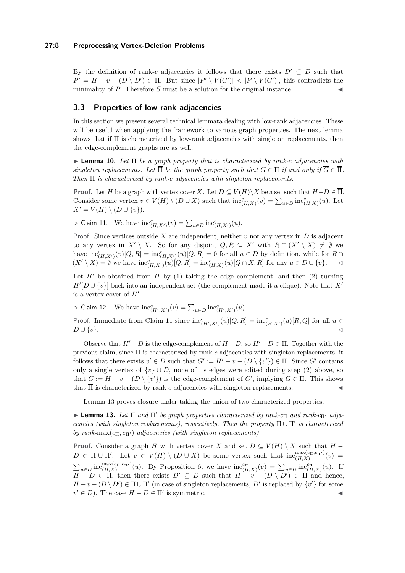### **27:8 Preprocessing Vertex-Deletion Problems**

By the definition of rank-*c* adjacencies it follows that there exists  $D' \subseteq D$  such that  $P' = H - v - (D \setminus D') \in \Pi$ . But since  $|P' \setminus V(G')| < |P \setminus V(G')|$ , this contradicts the minimality of  $P$ . Therefore  $S$  must be a solution for the original instance.

# **3.3 Properties of low-rank adjacencies**

In this section we present several technical lemmata dealing with low-rank adjacencies. These will be useful when applying the framework to various graph properties. The next lemma shows that if  $\Pi$  is characterized by low-rank adjacencies with singleton replacements, then the edge-complement graphs are as well.

<span id="page-7-2"></span>I **Lemma 10.** *Let* Π *be a graph property that is characterized by rank-c adjacencies with singleton replacements. Let*  $\overline{\Pi}$  *be the graph property such that*  $G \in \Pi$  *if and only if*  $\overline{G} \in \overline{\Pi}$ *. Then* Π *is characterized by rank-c adjacencies with singleton replacements.*

**Proof.** Let *H* be a graph with vertex cover *X*. Let  $D \subseteq V(H) \setminus X$  be a set such that  $H-D \in \overline{\Pi}$ . Consider some vertex  $v \in V(H) \setminus (D \cup X)$  such that  $\text{inc}_{(H,X)}^c(v) = \sum_{u \in D} \text{inc}_{(H,X)}^c(u)$ . Let *X*<sup> $′$ </sup> = *V*(*H*) \ (*D* ∪ {*v*}).

<span id="page-7-0"></span> $\triangleright$  Claim 11. We have  $\text{inc}_{(H,X')}^c(v) = \sum_{u \in D} \text{inc}_{(H,X')}^c(u)$ .

Proof. Since vertices outside *X* are independent, neither *v* nor any vertex in *D* is adjacent to any vertex in  $X' \setminus X$ . So for any disjoint  $Q, R \subseteq X'$  with  $R \cap (X' \setminus X) \neq \emptyset$  we have  $\text{inc}_{(H,X')}^c(v)[Q,R] = \text{inc}_{(H,X')}^c(u)[Q,R] = 0$  for all  $u \in D$  by definition, while for  $R \cap$  $(X' \setminus X) = ∅$  we have  $\text{inc}_{(H,X')}^c(u)[Q,R] = \text{inc}_{(H,X)}^c(u)[Q \cap X,R]$  for any  $u \in D \cup \{v\}.$  <

Let  $H'$  be obtained from  $H$  by (1) taking the edge complement, and then (2) turning  $H'[D \cup \{v\}]$  back into an independent set (the complement made it a clique). Note that *X*<sup>0</sup> is a vertex cover of  $H'$ .

 $\triangleright$  Claim 12. We have  $\text{inc}_{(H',X')}^c(v) = \sum_{u \in D} \text{inc}_{(H',X')}^c(u)$ .

Proof. Immediate from Claim [11](#page-7-0) since  $\text{inc}_{(H',X')}^c(u)[Q,R] = \text{inc}_{(H,X')}^c(u)[R,Q]$  for all  $u \in$  $D \cup \{v\}.$ 

Observe that  $H'-D$  is the edge-complement of  $H-D$ , so  $H'-D \in \Pi$ . Together with the previous claim, since Π is characterized by rank-*c* adjacencies with singleton replacements, it follows that there exists  $v' \in D$  such that  $G' := H' - v - (D \setminus \{v'\}) \in \Pi$ . Since  $G'$  contains only a single vertex of  $\{v\} \cup D$ , none of its edges were edited during step (2) above, so that  $G := H - v - (D \setminus \{v'\})$  is the edge-complement of  $G'$ , implying  $G \in \overline{\Pi}$ . This shows that  $\overline{\Pi}$  is characterized by rank-*c* adjacencies with singleton replacements.

Lemma [13](#page-7-1) proves closure under taking the union of two characterized properties.

<span id="page-7-1"></span> $\blacktriangleright$  **Lemma 13.** *Let* Π *and* Π' *be graph properties characterized by rank-c<sub>Π</sub> <i>and rank-c<sub>Π'</sub> adjacencies (with singleton replacements), respectively. Then the property*  $\Pi \cup \Pi'$  *is characterized by rank*-max $(c_{\Pi}, c_{\Pi'})$  *adjacencies (with singleton replacements).* 

**Proof.** Consider a graph *H* with vertex cover *X* and set  $D \subseteq V(H) \setminus X$  such that  $H D \in \Pi \cup \Pi'$ . Let  $v \in V(H) \setminus (D \cup X)$  be some vertex such that  $\text{inc}_{(H,X)}^{\text{max}(c_{\Pi},c_{\Pi'})}(v)$  $\sum_{u\in D}$  inc $_{(H,X)}^{\max(c_H,c_{\Pi'})}(u)$ . By Proposition [6,](#page-4-2) we have  $\text{inc}_{(H,X)}^{\text{cn}}(v) = \sum_{u\in D} \text{inc}_{(H,X)}^{\text{cn}}(u)$ . If  $H - D \in \Pi$ , then there exists  $D' \subseteq D$  such that  $H - v - (D \setminus D') \in \Pi$  and hence,  $H - v - (D \setminus D') \in \Pi \cup \Pi'$  (in case of singleton replacements, *D'* is replaced by  $\{v'\}$  for some  $v' \in D$ ). The case  $H - D \in \Pi'$  is symmetric.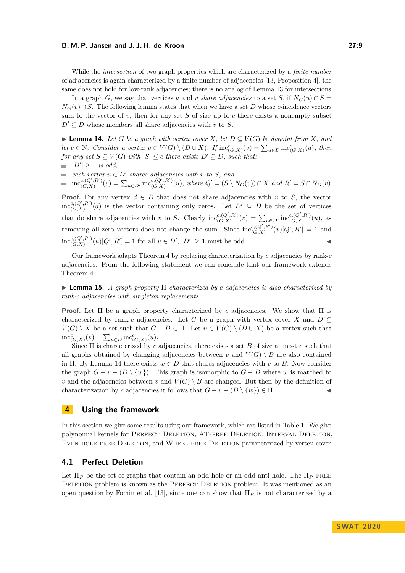While the *intersection* of two graph properties which are characterized by a *finite number* of adjacencies is again characterized by a finite number of adjacencies [\[13,](#page-13-0) Proposition 4], the same does not hold for low-rank adjacencies; there is no analog of Lemma [13](#page-7-1) for intersections.

In a graph *G*, we say that vertices *u* and *v share adjacencies* to a set *S*, if  $N_G(u) \cap S =$  $N_G(v) \cap S$ . The following lemma states that when we have a set *D* whose *c*-incidence vectors sum to the vector of  $v$ , then for any set  $S$  of size up to  $c$  there exists a nonempty subset  $D' \subseteq D$  whose members all share adjacencies with *v* to *S*.

<span id="page-8-2"></span>► **Lemma 14.** Let *G* be a graph with vertex cover *X*, let  $D ⊆ V(G)$  be disjoint from *X*, and *let*  $c \in \mathbb{N}$ *. Consider a vertex*  $v \in V(G) \setminus (D \cup X)$ *. If*  $inc_{(G,X)}^c(v) = \sum_{u \in D} inc_{(G,X)}^c(u)$ *, then for any set*  $S \subseteq V(G)$  *with*  $|S| \le c$  *there exists*  $D' \subseteq D$ *, such that:* 

 $|D'| \geq 1$  *is odd,* 

*each vertex*  $u \in D'$  *shares adjacencies with v to S, and* 

 $\operatorname{inc}_{(G,X)}^{c,(Q',R')}$  $\sum_{u \in D'} \text{inc}_{(G,X)}^{c,(Q',R')} (v) = \sum_{u \in D'} \text{inc}_{(G,X)}^{c,(Q',R')}$  $c,(Q',R')(u)$ , where  $Q' = (S \setminus N_G(v)) \cap X$  and  $R' = S \cap N_G(v)$ .

**Proof.** For any vertex  $d \in D$  that does not share adjacencies with *v* to *S*, the vector  $\operatorname{inc}_{(G,X)}^{c,(Q',R')}$  $\binom{c,(Q',R')}{(G,X)}(d)$  is the vector containing only zeros. Let  $D' \subseteq D$  be the set of vertices that do share adjacencies with *v* to *S*. Clearly  $\operatorname{inc}_{(G,X)}^{c,(Q',R')}$  $\sum_{u \in D'} \text{inc}_{(G,X)}^{c,(Q',R')}(v) = \sum_{u \in D'} \text{inc}_{(G,X)}^{c,(Q',R')}$  $\iota_{(G,X)}^{c,(Q',R^-)}(u)$ , as removing all-zero vectors does not change the sum. Since  $\operatorname{inc}_{G(X)}^{c,(Q',R')}$  $\frac{c,(Q',R')}{(G,X)}(v)[Q',R'] = 1$  and  $\operatorname{inc}_{(G,X)}^{c,(Q',R')}$  $\binom{c,(Q',R')}{(G,X)}(u)[Q',R'] = 1$  for all  $u \in D', |D'| \ge 1$  must be odd.

Our framework adapts Theorem [4](#page-4-1) by replacing characterization by *c* adjacencies by rank-*c* adjacencies. From the following statement we can conclude that our framework extends Theorem [4.](#page-4-1)

<span id="page-8-3"></span>I **Lemma 15.** *A graph property* Π *characterized by c adjacencies is also characterized by rank-c adjacencies with singleton replacements.*

**Proof.** Let Π be a graph property characterized by *c* adjacencies. We show that Π is characterized by rank-*c* adjacencies. Let *G* be a graph with vertex cover *X* and  $D \subseteq$ *V*(*G*) \ *X* be a set such that *G* − *D* ∈ Π. Let *v* ∈ *V*(*G*) \ (*D* ∪ *X*) be a vertex such that  $inc_{(G,X)}^{c}(v) = \sum_{u \in D} inc_{(G,X)}^{c}(u).$ 

Since Π is characterized by *c* adjacencies, there exists a set *B* of size at most *c* such that all graphs obtained by changing adjacencies between *v* and  $V(G) \setminus B$  are also contained in Π. By Lemma [14](#page-8-2) there exists  $w \in D$  that shares adjacencies with *v* to *B*. Now consider the graph  $G - v - (D \setminus \{w\})$ . This graph is isomorphic to  $G - D$  where *w* is matched to *v* and the adjacencies between *v* and  $V(G) \setminus B$  are changed. But then by the definition of characterization by *c* adjacencies it follows that  $G - v - (D \setminus \{w\}) \in \Pi$ .

## <span id="page-8-0"></span>**4 Using the framework**

In this section we give some results using our framework, which are listed in Table [1.](#page-2-0) We give polynomial kernels for PERFECT DELETION, AT-FREE DELETION, INTERVAL DELETION, Even-hole-free Deletion, and Wheel-free Deletion parameterized by vertex cover.

## <span id="page-8-1"></span>**4.1 Perfect Deletion**

Let  $\Pi_P$  be the set of graphs that contain an odd hole or an odd anti-hole. The  $\Pi_P$ -FREE DELETION problem is known as the PERFECT DELETION problem. It was mentioned as an open question by Fomin et al. [\[13\]](#page-13-0), since one can show that Π*<sup>P</sup>* is not characterized by a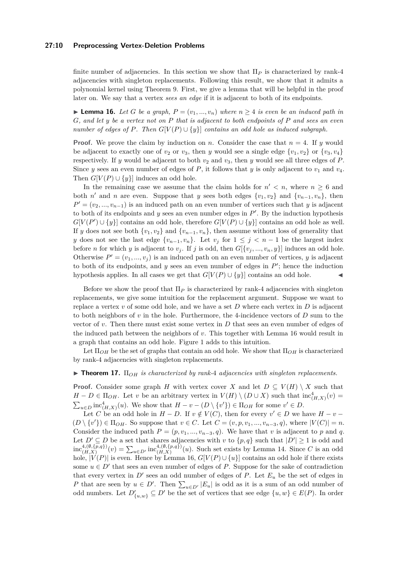#### **27:10 Preprocessing Vertex-Deletion Problems**

finite number of adjacencies. In this section we show that Π*<sup>P</sup>* is characterized by rank-4 adjacencies with singleton replacements. Following this result, we show that it admits a polynomial kernel using Theorem [9.](#page-6-5) First, we give a lemma that will be helpful in the proof later on. We say that a vertex *sees an edge* if it is adjacent to both of its endpoints.

<span id="page-9-0"></span>► **Lemma 16.** *Let G be a graph,*  $P = (v_1, ..., v_n)$  *where*  $n ≥ 4$  *is even be an induced path in G, and let y be a vertex not on P that is adjacent to both endpoints of P and sees an even number of edges of P. Then*  $G[V(P) \cup \{y\}]$  *contains an odd hole as induced subgraph.* 

**Proof.** We prove the claim by induction on *n*. Consider the case that  $n = 4$ . If *y* would be adjacent to exactly one of  $v_2$  or  $v_3$ , then *y* would see a single edge  $\{v_1, v_2\}$  or  $\{v_3, v_4\}$ respectively. If *y* would be adjacent to both  $v_2$  and  $v_3$ , then *y* would see all three edges of *P*. Since *y* sees an even number of edges of *P*, it follows that *y* is only adjacent to  $v_1$  and  $v_4$ . Then  $G[V(P) \cup \{y\}]$  induces an odd hole.

In the remaining case we assume that the claim holds for  $n' < n$ , where  $n \geq 6$  and both *n'* and *n* are even. Suppose that *y* sees both edges  $\{v_1, v_2\}$  and  $\{v_{n-1}, v_n\}$ , then  $P' = (v_2, ..., v_{n-1})$  is an induced path on an even number of vertices such that *y* is adjacent to both of its endpoints and  $y$  sees an even number edges in  $P'$ . By the induction hypothesis  $G[V(P') \cup \{y\}]$  contains an odd hole, therefore  $G[V(P) \cup \{y\}]$  contains an odd hole as well. If *y* does not see both  $\{v_1, v_2\}$  and  $\{v_{n-1}, v_n\}$ , then assume without loss of generality that *y* does not see the last edge  $\{v_{n-1}, v_n\}$ . Let  $v_j$  for  $1 \leq j \leq n-1$  be the largest index before *n* for which *y* is adjacent to  $v_j$ . If *j* is odd, then  $G[\{v_j, ..., v_n, y\}]$  induces an odd hole. Otherwise  $P' = (v_1, ..., v_j)$  is an induced path on an even number of vertices, *y* is adjacent to both of its endpoints, and  $y$  sees an even number of edges in  $P'$ ; hence the induction hypothesis applies. In all cases we get that  $G[V(P) \cup \{y\}]$  contains an odd hole.

Before we show the proof that  $\Pi_P$  is characterized by rank-4 adjacencies with singleton replacements, we give some intuition for the replacement argument. Suppose we want to replace a vertex *v* of some odd hole, and we have a set *D* where each vertex in *D* is adjacent to both neighbors of *v* in the hole. Furthermore, the 4-incidence vectors of *D* sum to the vector of *v*. Then there must exist some vertex in *D* that sees an even number of edges of the induced path between the neighbors of *v*. This together with Lemma [16](#page-9-0) would result in a graph that contains an odd hole. Figure [1](#page-10-0) adds to this intuition.

Let  $\Pi_{OH}$  be the set of graphs that contain an odd hole. We show that  $\Pi_{OH}$  is characterized by rank-4 adjacencies with singleton replacements.

#### <span id="page-9-1"></span>I **Theorem 17.** Π*OH is characterized by rank-*4 *adjacencies with singleton replacements.*

**Proof.** Consider some graph *H* with vertex cover *X* and let  $D \subseteq V(H) \setminus X$  such that  $H - D \in \Pi_{OH}$ . Let *v* be an arbitrary vertex in  $V(H) \setminus (D \cup X)$  such that  $\text{inc}_{(H,X)}^4(v) =$  $\sum_{u \in D} \text{inc}_{(H,X)}^4(u)$ . We show that  $H - v - (D \setminus \{v'\}) \in \Pi_{OH}$  for some  $v' \in D$ .

Let *C* be an odd hole in  $H - D$ . If  $v \notin V(C)$ , then for every  $v' \in D$  we have  $H - v (D \setminus \{v'\}) \in \Pi_{OH}$ . So suppose that  $v \in C$ . Let  $C = (v, p, v_1, ..., v_{n-3}, q)$ , where  $|V(C)| = n$ . Consider the induced path  $P = (p, v_1, ..., v_{n-3}, q)$ . We have that *v* is adjacent to *p* and *q*. Let  $D' \subseteq D$  be a set that shares adjacencies with *v* to  $\{p,q\}$  such that  $|D'| \geq 1$  is odd and  $inc_{(H,X)}^{4,(\emptyset,\{p,q\})}(v) = \sum_{u \in D'} inc_{(H,X)}^{4,(\emptyset,\{p,q\})}(u)$ . Such set exists by Lemma [14.](#page-8-2) Since *C* is an odd hole,  $|V(P)|$  is even. Hence by Lemma [16,](#page-9-0)  $G[V(P) \cup \{u\}]$  contains an odd hole if there exists some  $u \in D'$  that sees an even number of edges of *P*. Suppose for the sake of contradiction that every vertex in  $D'$  sees an odd number of edges of  $P$ . Let  $E_u$  be the set of edges in *P* that are seen by  $u \in D'$ . Then  $\sum_{u \in D'} |E_u|$  is odd as it is a sum of an odd number of odd numbers. Let  $D'_{\{u,w\}} \subseteq D'$  be the set of vertices that see edge  $\{u,w\} \in E(P)$ . In order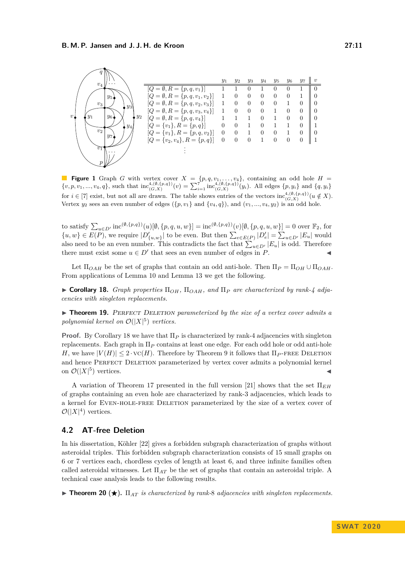<span id="page-10-0"></span>

**Figure 1** Graph *G* with vertex cover  $X = \{p, q, v_1, \ldots, v_4\}$ , containing an odd hole  $H =$  $\{v, p, v_1, ..., v_4, q\}$ , such that  $\text{inc}_{(G,X)}^{4,(\emptyset,\{p,q\})}(v) = \sum_{i=1}^{7} \text{inc}_{(G,X)}^{4,(\emptyset,\{p,q\})}(y_i)$ . All edges  $\{p, y_i\}$  and  $\{q, y_i\}$ for  $i \in [7]$  exist, but not all are drawn. The table shows entries of the vectors  $\text{inc}_{(G,X)}^{4,(0,\{p,q\})}(u \notin X)$ . Vertex  $y_2$  sees an even number of edges  $(\{p, v_1\} \text{ and } \{v_4, q\})$ , and  $(v_1, ..., v_4, y_2)$  is an odd hole.

to satisfy  $\sum_{u \in D'} \text{inc}^{(\emptyset, \{p,q\})}(u)[\emptyset, \{p,q,u,w\}] = \text{inc}^{(\emptyset, \{p,q\})}(v)[\emptyset, \{p,q,u,w\}] = 0$  over  $\mathbb{F}_2$ , for  $\{u, w\} \in E(P)$ , we require  $|D'_{\{u,w\}}|$  to be even. But then  $\sum_{e \in E(P)} |D'_e| = \sum_{u \in D'} |E_u|$  would also need to be an even number. This contradicts the fact that  $\sum_{u \in D'} |E_u|$  is odd. Therefore there must exist some  $u \in D'$  that sees an even number of edges in *P*.

Let  $\Pi_{OAH}$  be the set of graphs that contain an odd anti-hole. Then  $\Pi_P = \Pi_{OH} \cup \Pi_{OAH}$ . From applications of Lemma [10](#page-7-2) and Lemma [13](#page-7-1) we get the following.

<span id="page-10-1"></span> $\triangleright$  **Corollary 18.** *Graph properties*  $\Pi_{OH}$ ,  $\Pi_{OAH}$ *, and*  $\Pi_{P}$  *are characterized by rank-4 adjacencies with singleton replacements.*

► **Theorem 19.** PERFECT DELETION parameterized by the size of a vertex cover admits a polynomial kernel on  $\mathcal{O}(|X|^5)$  vertices.

**Proof.** By Corollary [18](#page-10-1) we have that  $\Pi_P$  is characterized by rank-4 adjacencies with singleton replacements. Each graph in Π*<sup>P</sup>* contains at least one edge. For each odd hole or odd anti-hole *H*, we have  $|V(H)| \leq 2 \cdot \text{VC}(H)$ . Therefore by Theorem [9](#page-6-5) it follows that  $\Pi_{P}$ -FREE DELETION and hence PERFECT DELETION parameterized by vertex cover admits a polynomial kernel on  $\mathcal{O}(|X|^5)$  vertices.

A variation of Theorem [17](#page-9-1) presented in the full version [\[21\]](#page-13-14) shows that the set  $\Pi_{EH}$ of graphs containing an even hole are characterized by rank-3 adjacencies, which leads to a kernel for Even-hole-free Deletion parameterized by the size of a vertex cover of  $\mathcal{O}(|X|^4)$  vertices.

# <span id="page-10-3"></span>**4.2 AT-free Deletion**

In his dissertation, Köhler [\[22\]](#page-13-12) gives a forbidden subgraph characterization of graphs without asteroidal triples. This forbidden subgraph characterization consists of 15 small graphs on 6 or 7 vertices each, chordless cycles of length at least 6, and three infinite families often called asteroidal witnesses. Let Π*AT* be the set of graphs that contain an asteroidal triple. A technical case analysis leads to the following results.

<span id="page-10-2"></span>**Findmer 20 (** $\star$ **).**  $\Pi_{AT}$  *is characterized by rank-8 adjacencies with singleton replacements.*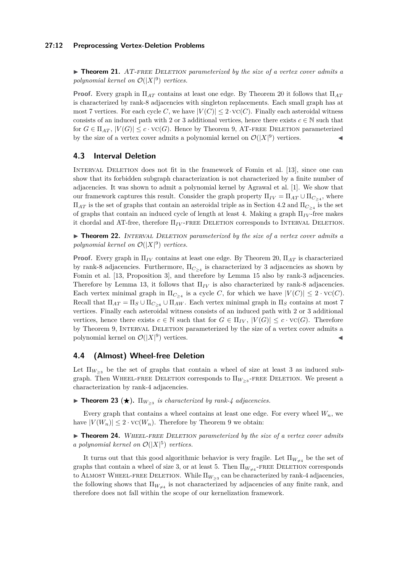#### **27:12 Preprocessing Vertex-Deletion Problems**

► **Theorem 21.** AT-FREE DELETION parameterized by the size of a vertex cover admits a polynomial kernel on  $\mathcal{O}(|X|^9)$  vertices.

**Proof.** Every graph in Π*AT* contains at least one edge. By Theorem [20](#page-10-2) it follows that Π*AT* is characterized by rank-8 adjacencies with singleton replacements. Each small graph has at most 7 vertices. For each cycle *C*, we have  $|V(C)| \leq 2 \cdot \text{VC}(C)$ . Finally each asteroidal witness consists of an induced path with 2 or 3 additional vertices, hence there exists  $c \in \mathbb{N}$  such that for  $G \in \Pi_{AT}$ ,  $|V(G)| \leq c \cdot \text{VC}(G)$ . Hence by Theorem [9,](#page-6-5) AT-FREE DELETION parameterized by the size of a vertex cover admits a polynomial kernel on  $\mathcal{O}(|X|^9)$  vertices.

# **4.3 Interval Deletion**

Interval Deletion does not fit in the framework of Fomin et al. [\[13\]](#page-13-0), since one can show that its forbidden subgraph characterization is not characterized by a finite number of adjacencies. It was shown to admit a polynomial kernel by Agrawal et al. [\[1\]](#page-12-2). We show that our framework captures this result. Consider the graph property  $\Pi_{IV} = \Pi_{AT} \cup \Pi_{C_{\geq 4}}$ , where  $\Pi_{AT}$  is the set of graphs that contain an asteroidal triple as in Section [4.2](#page-10-3) and  $\Pi_{C>4}$  is the set of graphs that contain an induced cycle of length at least 4. Making a graph Π*IV* -free makes it chordal and AT-free, therefore  $\Pi_{IV}$ -FREE DELETION corresponds to INTERVAL DELETION.

► **Theorem 22.** INTERVAL DELETION parameterized by the size of a vertex cover admits a polynomial kernel on  $\mathcal{O}(|X|^9)$  vertices.

**Proof.** Every graph in Π*IV* contains at least one edge. By Theorem [20,](#page-10-2) Π*AT* is characterized by rank-8 adjacencies. Furthermore, Π*<sup>C</sup>*≥<sup>4</sup> is characterized by 3 adjacencies as shown by Fomin et al. [\[13,](#page-13-0) Proposition 3], and therefore by Lemma [15](#page-8-3) also by rank-3 adjacencies. Therefore by Lemma [13,](#page-7-1) it follows that  $\Pi_{IV}$  is also characterized by rank-8 adjacencies. Each vertex minimal graph in  $\Pi_{C_{\geq 4}}$  is a cycle *C*, for which we have  $|V(C)| \leq 2 \cdot \text{VC}(C)$ . Recall that  $\Pi_{AT} = \Pi_S \cup \Pi_{C_{\geq 6}} \cup \Pi_{AW}$ . Each vertex minimal graph in  $\Pi_S$  contains at most 7 vertices. Finally each asteroidal witness consists of an induced path with 2 or 3 additional vertices, hence there exists  $c \in \mathbb{N}$  such that for  $G \in \Pi_{IV}$ ,  $|V(G)| \leq c \cdot \text{VC}(G)$ . Therefore by Theorem [9,](#page-6-5) Interval Deletion parameterized by the size of a vertex cover admits a polynomial kernel on  $\mathcal{O}(|X|^9)$  vertices.

# **4.4 (Almost) Wheel-free Deletion**

Let  $\Pi_{W_{>3}}$  be the set of graphs that contain a wheel of size at least 3 as induced subgraph. Then WHEEL-FREE DELETION corresponds to  $\Pi_{W>3}$ -FREE DELETION. We present a characterization by rank-4 adjacencies.

**Theorem 23 (** $\star$ **).**  $\Pi_{W_{\geq 3}}$  *is characterized by rank-4 adjacencies.* 

Every graph that contains a wheel contains at least one edge. For every wheel *Wn*, we have  $|V(W_n)| \leq 2 \cdot \text{VC}(W_n)$ . Therefore by Theorem [9](#page-6-5) we obtain:

▶ **Theorem 24.** WHEEL-FREE DELETION parameterized by the size of a vertex cover admits *a polynomial kernel on*  $\mathcal{O}(|X|^5)$  *vertices.* 

<span id="page-11-0"></span>It turns out that this good algorithmic behavior is very fragile. Let  $\Pi_{W_{\alpha\beta}}$  be the set of graphs that contain a wheel of size 3, or at least 5. Then  $\Pi_{W_{\neq 4}}$ -FREE DELETION corresponds to ALMOST WHEEL-FREE DELETION. While  $\Pi_{W>3}$  can be characterized by rank-4 adjacencies, the following shows that  $\Pi_{W_{\pm 4}}$  is not characterized by adjacencies of any finite rank, and therefore does not fall within the scope of our kernelization framework.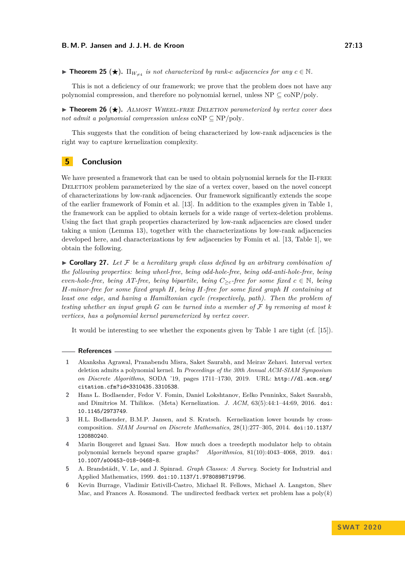**Find Theorem 25** ( $\star$ ).  $\Pi_{W_{\star4}}$  *is not characterized by rank-c adjacencies for any*  $c \in \mathbb{N}$ .

This is not a deficiency of our framework; we prove that the problem does not have any polynomial compression, and therefore no polynomial kernel, unless  $NP \subseteq \text{coNP}/\text{poly}$ .

▶ Theorem 26 (★). ALMOST WHEEL-FREE DELETION parameterized by vertex cover does *not admit a polynomial compression unless* coNP  $\subseteq$  NP/poly.

This suggests that the condition of being characterized by low-rank adjacencies is the right way to capture kernelization complexity.

# <span id="page-12-6"></span>**5 Conclusion**

We have presented a framework that can be used to obtain polynomial kernels for the  $\Pi$ -FREE DELETION problem parameterized by the size of a vertex cover, based on the novel concept of characterizations by low-rank adjacencies. Our framework significantly extends the scope of the earlier framework of Fomin et al. [\[13\]](#page-13-0). In addition to the examples given in Table [1,](#page-2-0) the framework can be applied to obtain kernels for a wide range of vertex-deletion problems. Using the fact that graph properties characterized by low-rank adjacencies are closed under taking a union (Lemma [13\)](#page-7-1), together with the characterizations by low-rank adjacencies developed here, and characterizations by few adjacencies by Fomin et al. [\[13,](#page-13-0) Table 1], we obtain the following.

 $\triangleright$  **Corollary 27.** Let F be a hereditary graph class defined by an arbitrary combination of *the following properties: being wheel-free, being odd-hole-free, being odd-anti-hole-free, being even-hole-free, being AT-free, being bipartite, being*  $C_{\geq c}$ -free for some fixed  $c \in \mathbb{N}$ , being *H-minor-free for some fixed graph H, being H-free for some fixed graph H containing at least one edge, and having a Hamiltonian cycle (respectively, path). Then the problem of testing whether an input graph*  $G$  *can be turned into a member of*  $F$  *by removing at most*  $k$ *vertices, has a polynomial kernel parameterized by vertex cover.*

It would be interesting to see whether the exponents given by Table [1](#page-2-0) are tight (cf. [\[15\]](#page-13-1)).

#### **References**

- <span id="page-12-2"></span>**1** Akanksha Agrawal, Pranabendu Misra, Saket Saurabh, and Meirav Zehavi. Interval vertex deletion admits a polynomial kernel. In *Proceedings of the 30th Annual ACM-SIAM Symposium on Discrete Algorithms*, SODA '19, pages 1711–1730, 2019. URL: [http://dl.acm.org/](http://dl.acm.org/citation.cfm?id=3310435.3310538) [citation.cfm?id=3310435.3310538](http://dl.acm.org/citation.cfm?id=3310435.3310538).
- <span id="page-12-0"></span>**2** Hans L. Bodlaender, Fedor V. Fomin, Daniel Lokshtanov, Eelko Penninkx, Saket Saurabh, and Dimitrios M. Thilikos. (Meta) Kernelization. *J. ACM*, 63(5):44:1–44:69, 2016. [doi:](http://dx.doi.org/10.1145/2973749) [10.1145/2973749](http://dx.doi.org/10.1145/2973749).
- <span id="page-12-1"></span>**3** H.L. Bodlaender, B.M.P. Jansen, and S. Kratsch. Kernelization lower bounds by crosscomposition. *SIAM Journal on Discrete Mathematics*, 28(1):277–305, 2014. [doi:10.1137/](http://dx.doi.org/10.1137/120880240) [120880240](http://dx.doi.org/10.1137/120880240).
- <span id="page-12-4"></span>**4** Marin Bougeret and Ignasi Sau. How much does a treedepth modulator help to obtain polynomial kernels beyond sparse graphs? *Algorithmica*, 81(10):4043–4068, 2019. [doi:](http://dx.doi.org/10.1007/s00453-018-0468-8) [10.1007/s00453-018-0468-8](http://dx.doi.org/10.1007/s00453-018-0468-8).
- <span id="page-12-5"></span>**5** A. Brandstädt, V. Le, and J. Spinrad. *Graph Classes: A Survey*. Society for Industrial and Applied Mathematics, 1999. [doi:10.1137/1.9780898719796](http://dx.doi.org/10.1137/1.9780898719796).
- <span id="page-12-3"></span>**6** Kevin Burrage, Vladimir Estivill-Castro, Michael R. Fellows, Michael A. Langston, Shev Mac, and Frances A. Rosamond. The undirected feedback vertex set problem has a  $poly(k)$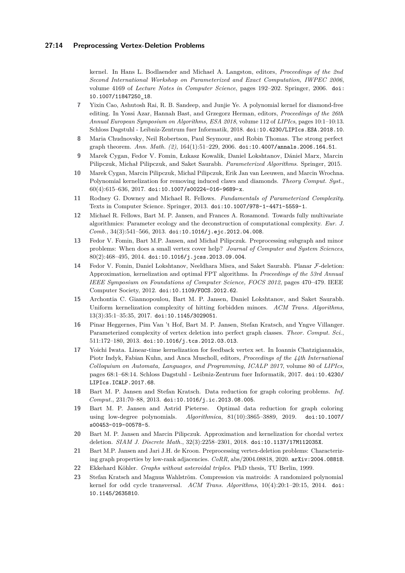kernel. In Hans L. Bodlaender and Michael A. Langston, editors, *Proceedings of the 2nd Second International Workshop on Parameterized and Exact Computation, IWPEC 2006*, volume 4169 of *Lecture Notes in Computer Science*, pages 192–202. Springer, 2006. [doi:](http://dx.doi.org/10.1007/11847250_18) [10.1007/11847250\\_18](http://dx.doi.org/10.1007/11847250_18).

- <span id="page-13-3"></span>**7** Yixin Cao, Ashutosh Rai, R. B. Sandeep, and Junjie Ye. A polynomial kernel for diamond-free editing. In Yossi Azar, Hannah Bast, and Grzegorz Herman, editors, *Proceedings of the 26th Annual European Symposium on Algorithms, ESA 2018*, volume 112 of *LIPIcs*, pages 10:1–10:13. Schloss Dagstuhl - Leibniz-Zentrum fuer Informatik, 2018. [doi:10.4230/LIPIcs.ESA.2018.10](http://dx.doi.org/10.4230/LIPIcs.ESA.2018.10).
- <span id="page-13-13"></span>**8** Maria Chudnovsky, Neil Robertson, Paul Seymour, and Robin Thomas. The strong perfect graph theorem. *Ann. Math. (2)*, 164(1):51–229, 2006. [doi:10.4007/annals.2006.164.51](http://dx.doi.org/10.4007/annals.2006.164.51).
- <span id="page-13-15"></span>**9** Marek Cygan, Fedor V. Fomin, Łukasz Kowalik, Daniel Lokshtanov, Dániel Marx, Marcin Pilipczuk, Michał Pilipczuk, and Saket Saurabh. *Parameterized Algorithms*. Springer, 2015.
- <span id="page-13-4"></span>**10** Marek Cygan, Marcin Pilipczuk, Michal Pilipczuk, Erik Jan van Leeuwen, and Marcin Wrochna. Polynomial kernelization for removing induced claws and diamonds. *Theory Comput. Syst.*,  $60(4):615-636, 2017.$  [doi:10.1007/s00224-016-9689-x](http://dx.doi.org/10.1007/s00224-016-9689-x).
- <span id="page-13-16"></span>**11** Rodney G. Downey and Michael R. Fellows. *Fundamentals of Parameterized Complexity*. Texts in Computer Science. Springer, 2013. [doi:10.1007/978-1-4471-5559-1](http://dx.doi.org/10.1007/978-1-4471-5559-1).
- <span id="page-13-11"></span>**12** Michael R. Fellows, Bart M. P. Jansen, and Frances A. Rosamond. Towards fully multivariate algorithmics: Parameter ecology and the deconstruction of computational complexity. *Eur. J. Comb.*, 34(3):541–566, 2013. [doi:10.1016/j.ejc.2012.04.008](http://dx.doi.org/10.1016/j.ejc.2012.04.008).
- <span id="page-13-0"></span>**13** Fedor V. Fomin, Bart M.P. Jansen, and Michał Pilipczuk. Preprocessing subgraph and minor problems: When does a small vertex cover help? *Journal of Computer and System Sciences*, 80(2):468–495, 2014. [doi:10.1016/j.jcss.2013.09.004](http://dx.doi.org/10.1016/j.jcss.2013.09.004).
- <span id="page-13-5"></span>**14** Fedor V. Fomin, Daniel Lokshtanov, Neeldhara Misra, and Saket Saurabh. Planar F-deletion: Approximation, kernelization and optimal FPT algorithms. In *Proceedings of the 53rd Annual IEEE Symposium on Foundations of Computer Science, FOCS 2012*, pages 470–479. IEEE Computer Society, 2012. [doi:10.1109/FOCS.2012.62](http://dx.doi.org/10.1109/FOCS.2012.62).
- <span id="page-13-1"></span>**15** Archontia C. Giannopoulou, Bart M. P. Jansen, Daniel Lokshtanov, and Saket Saurabh. Uniform kernelization complexity of hitting forbidden minors. *ACM Trans. Algorithms*, 13(3):35:1–35:35, 2017. [doi:10.1145/3029051](http://dx.doi.org/10.1145/3029051).
- <span id="page-13-9"></span>**16** Pinar Heggernes, Pim Van 't Hof, Bart M. P. Jansen, Stefan Kratsch, and Yngve Villanger. Parameterized complexity of vertex deletion into perfect graph classes. *Theor. Comput. Sci.*, 511:172–180, 2013. [doi:10.1016/j.tcs.2012.03.013](http://dx.doi.org/10.1016/j.tcs.2012.03.013).
- <span id="page-13-6"></span>**17** Yoichi Iwata. Linear-time kernelization for feedback vertex set. In Ioannis Chatzigiannakis, Piotr Indyk, Fabian Kuhn, and Anca Muscholl, editors, *Proceedings of the 44th International Colloquium on Automata, Languages, and Programming, ICALP 2017*, volume 80 of *LIPIcs*, pages 68:1–68:14. Schloss Dagstuhl - Leibniz-Zentrum fuer Informatik, 2017. [doi:10.4230/](http://dx.doi.org/10.4230/LIPIcs.ICALP.2017.68) [LIPIcs.ICALP.2017.68](http://dx.doi.org/10.4230/LIPIcs.ICALP.2017.68).
- <span id="page-13-10"></span>**18** Bart M. P. Jansen and Stefan Kratsch. Data reduction for graph coloring problems. *Inf. Comput.*, 231:70–88, 2013. [doi:10.1016/j.ic.2013.08.005](http://dx.doi.org/10.1016/j.ic.2013.08.005).
- <span id="page-13-2"></span>**19** Bart M. P. Jansen and Astrid Pieterse. Optimal data reduction for graph coloring using low-degree polynomials. *Algorithmica*, 81(10):3865–3889, 2019. [doi:10.1007/](http://dx.doi.org/10.1007/s00453-019-00578-5) [s00453-019-00578-5](http://dx.doi.org/10.1007/s00453-019-00578-5).
- <span id="page-13-7"></span>**20** Bart M. P. Jansen and Marcin Pilipczuk. Approximation and kernelization for chordal vertex deletion. *SIAM J. Discrete Math.*, 32(3):2258–2301, 2018. [doi:10.1137/17M112035X](http://dx.doi.org/10.1137/17M112035X).
- <span id="page-13-14"></span>**21** Bart M.P. Jansen and Jari J.H. de Kroon. Preprocessing vertex-deletion problems: Characterizing graph properties by low-rank adjacencies. *CoRR*, abs/2004.08818, 2020. [arXiv:2004.08818](http://arxiv.org/abs/2004.08818).
- <span id="page-13-12"></span>**22** Ekkehard Köhler. *Graphs without asteroidal triples*. PhD thesis, TU Berlin, 1999.
- <span id="page-13-8"></span>**23** Stefan Kratsch and Magnus Wahlström. Compression via matroids: A randomized polynomial kernel for odd cycle transversal. *ACM Trans. Algorithms*, 10(4):20:1–20:15, 2014. [doi:](http://dx.doi.org/10.1145/2635810) [10.1145/2635810](http://dx.doi.org/10.1145/2635810).